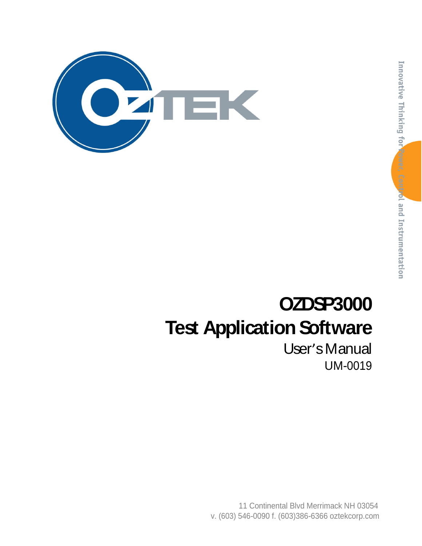

# **OZDSP3000 Test Application Software**

User's Manual UM-0019

11 Continental Blvd Merrimack NH 03054 v. (603) 546-0090 f. (603)386-6366 oztekcorp.com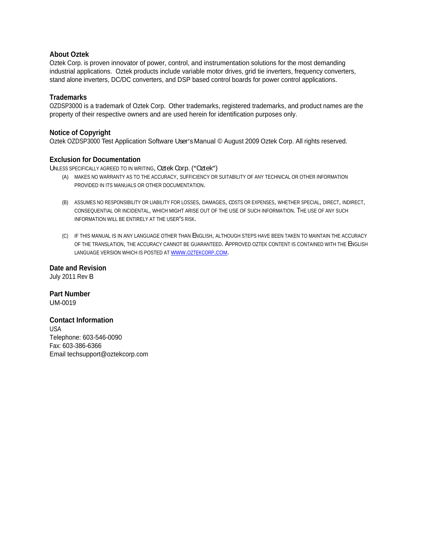#### **About Oztek**

Oztek Corp. is proven innovator of power, control, and instrumentation solutions for the most demanding industrial applications. Oztek products include variable motor drives, grid tie inverters, frequency converters, stand alone inverters, DC/DC converters, and DSP based control boards for power control applications.

#### **Trademarks**

OZDSP3000 is a trademark of Oztek Corp. Other trademarks, registered trademarks, and product names are the property of their respective owners and are used herein for identification purposes only.

#### **Notice of Copyright**

Oztek OZDSP3000 Test Application Software User's Manual © August 2009 Oztek Corp. All rights reserved.

#### **Exclusion for Documentation**

UNLESS SPECIFICALLY AGREED TO IN WRITING, Oztek Corp. ("Oztek")

- (A) MAKES NO WARRANTY AS TO THE ACCURACY, SUFFICIENCY OR SUITABILITY OF ANY TECHNICAL OR OTHER INFORMATION PROVIDED IN ITS MANUALS OR OTHER DOCUMENTATION.
- (B) ASSUMES NO RESPONSIBILITY OR LIABILITY FOR LOSSES, DAMAGES, COSTS OR EXPENSES, WHETHER SPECIAL, DIRECT, INDIRECT,<br>CONSEQUENTIAL OR INCIDENTAL, WHICH MIGHT ARISE OUT OF THE USE OF SUCH INFORMATION. THE USE OF ANY SUCH INFORMATION WILL BE ENTIRELY AT THE USER'S RISK.
- (C) IF THIS MANUAL IS IN ANY LANGUAGE OTHER THAN ENGLISH, ALTHOUGH STEPS HAVE BEEN TAKEN TO MAINTAIN THE ACCURACY OF THE TRANSLATION, THE ACCURACY CANNOT BE GUARANTEED. APPROVED OZTEK CONTENT IS CONTAINED WITH THE ENGLISH LANGUAGE VERSION WHICH IS POSTED AT WWW.OZTEKCORP.COM.

**Date and Revision** July 2011 Rev B

**Part Number** UM-0019

#### **Contact Information**

USA and the contract of the contract of the contract of the contract of the contract of the contract of the contract of the contract of the contract of the contract of the contract of the contract of the contract of the co Telephone: 603-546-0090 Fax: 603-386-6366 Email techsupport@oztekcorp.com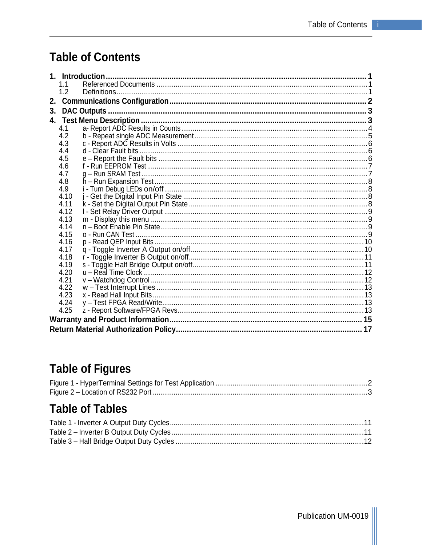## **Table of Contents**

|    |              | 1. Introduction |  |
|----|--------------|-----------------|--|
|    | 1.1          |                 |  |
|    | 1.2          |                 |  |
|    |              |                 |  |
| 3. |              | DAC Outputs.    |  |
|    |              |                 |  |
|    | 4.1          |                 |  |
|    | 4.2          |                 |  |
|    | 4.3          |                 |  |
|    | 4.4          |                 |  |
|    | 4.5          |                 |  |
|    | 4.6          |                 |  |
|    | 4.7          |                 |  |
|    | 4.8          |                 |  |
|    | 4.9          |                 |  |
|    | 4.10         |                 |  |
|    | 4.11         |                 |  |
|    | 4.12         |                 |  |
|    | 4.13         |                 |  |
|    | 4.14         |                 |  |
|    | 4.15         |                 |  |
|    | 4.16         |                 |  |
|    | 4.17         |                 |  |
|    | 4.18         |                 |  |
|    | 4.19         |                 |  |
|    | 4.20         |                 |  |
|    | 4.21<br>4.22 |                 |  |
|    | 4.23         |                 |  |
|    | 4.24         |                 |  |
|    | 4.25         |                 |  |
|    |              |                 |  |
|    |              |                 |  |
|    |              |                 |  |

## **Table of Figures**

## **Table of Tables**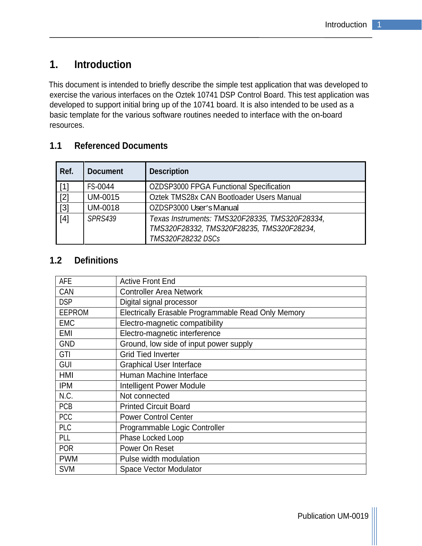## **1. Introduction**

This document is intended to briefly describe the simple test application that was developed to exercise the various interfaces on the Oztek 10741 DSP Control Board. This test application was developed to support initial bring up of the 10741 board. It is also intended to be used as a basic template for the various software routines needed to interface with the on-board resources.

## **1.1 Referenced Documents**

| Ref.  | <b>Document</b> | <b>Description</b>                                                                                               |
|-------|-----------------|------------------------------------------------------------------------------------------------------------------|
| $[1]$ | FS-0044         | OZDSP3000 FPGA Functional Specification                                                                          |
| $[2]$ | UM-0015         | Oztek TMS28x CAN Bootloader Users Manual                                                                         |
| $[3]$ | <b>UM-0018</b>  | OZDSP3000 User's Manual                                                                                          |
| $[4]$ | <b>SPRS439</b>  | Texas Instruments: TMS320F28335, TMS320F28334,<br>TMS320F28332, TMS320F28235, TMS320F28234,<br>TMS320F28232 DSCs |

## **1.2 Definitions**

| AFE                                                                            | Active Front End                                    |
|--------------------------------------------------------------------------------|-----------------------------------------------------|
| CAN                                                                            | Controller Area Network                             |
| <b>DSP</b>                                                                     | Digital signal processor                            |
| EEPROM                                                                         | Electrically Erasable Programmable Read Only Memory |
| EMC                                                                            | Electro-magnetic compatibility                      |
|                                                                                | Electro-magnetic interference                       |
| EMI<br>GND                                                                     | Ground, low side of input power supply              |
| GTI                                                                            | Grid Tied Inverter                                  |
| GUI                                                                            | Graphical User Interface                            |
| HMI                                                                            | Human Machine Interface                             |
|                                                                                | Intelligent Power Module                            |
| $\begin{array}{ c c }\n\hline\n\text{IPM} \\ \hline\n\text{N.C.}\n\end{array}$ | Not connected                                       |
| PCB                                                                            | <b>Printed Circuit Board</b>                        |
| <b>PCC</b>                                                                     | Power Control Center                                |
| PLC                                                                            | Programmable Logic Controller                       |
| PLL                                                                            | Phase Locked Loop                                   |
| POR                                                                            | Power On Reset                                      |
| <b>PWM</b>                                                                     | Pulse width modulation                              |
| <b>SVM</b>                                                                     | Space Vector Modulator                              |

Publication UM-0019 |||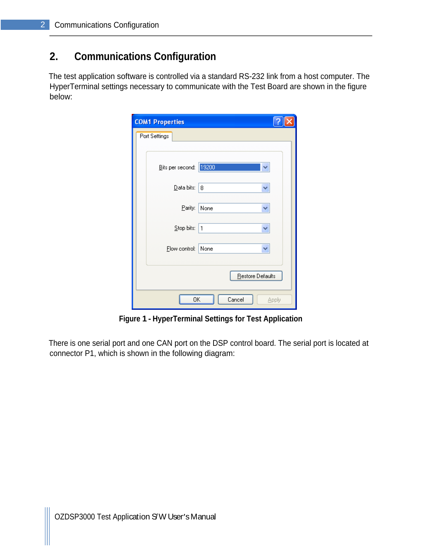## **2. Communications Configuration**

The test application software is controlled via a standard RS-232 link from a host computer. The HyperTerminal settings necessary to communicate with the Test Board are shown in the figure below:

| <b>COM1 Properties</b> |                   |
|------------------------|-------------------|
| Port Settings          |                   |
|                        |                   |
| Bits per second:       | 19200             |
| Data bits:             | 8<br>٧            |
|                        |                   |
| Parity:                | None<br>v         |
| Stop bits:             | $\mathbf{1}$<br>٧ |
| Elow control:          | None<br>v         |
|                        |                   |
|                        | Restore Defaults  |
|                        |                   |
| ΟK                     | Cancel<br>Apply   |

**Figure 1 - HyperTerminal Settings for Test Application**

There is one serial port and one CAN port on the DSP control board. The serial port is located at connector P1, which is shown in the following diagram: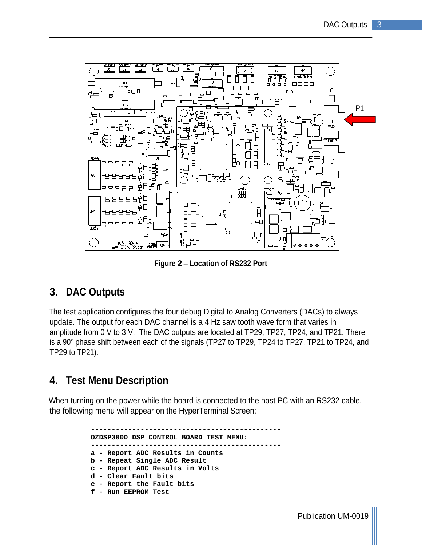

**Figure 2 Location of RS232 Port**

## **3. DAC Outputs**

The test application configures the four debug Digital to Analog Converters (DACs) to always update. The output for each DAC channel is a 4 Hz saw tooth wave form that varies in amplitude from 0 V to 3 V. The DAC outputs are located at TP29, TP27, TP24, and TP21. There is a 90° phase shift between each of the signals (TP27 to TP29, TP24 to TP27, TP21 to TP24, and TP29 to TP21).

## **4. Test Menu Description**

When turning on the power while the board is connected to the host PC with an RS232 cable, the following menu will appear on the HyperTerminal Screen:

> **---------------------------------------------- OZDSP3000 DSP CONTROL BOARD TEST MENU: --------------------------------------------- a - Report ADC Results in Counts b - Repeat Single ADC Result c - Report ADC Results in Volts d - Clear Fault bits e - Report the Fault bits f - Run EEPROM Test**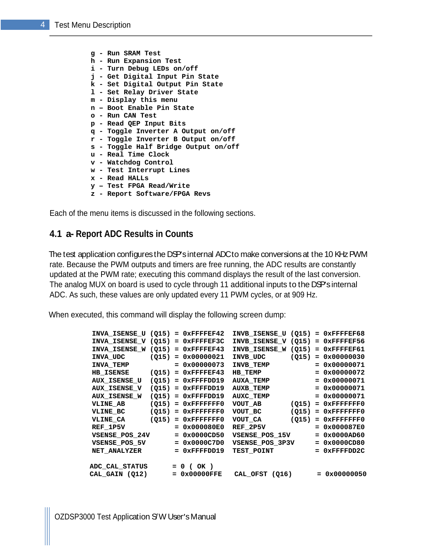**g - Run SRAM Test h - Run Expansion Test i - Turn Debug LEDs on/off j - Get Digital Input Pin State k - Set Digital Output Pin State l - Set Relay Driver State m - Display this menu n - Boot Enable Pin State o - Run CAN Test p - Read QEP Input Bits q - Toggle Inverter A Output on/off r - Toggle Inverter B Output on/off s - Toggle Half Bridge Output on/off u - Real Time Clock v - Watchdog Control w - Test Interrupt Lines x - Read HALLs y Test FPGA Read/Write**

**z - Report Software/FPGA Revs**

Each of the menu items is discussed in the following sections.

#### **4.1 a- Report ADC Results in Counts**

The test application configures the DSP's internal ADC to make conversions at the 10 KHz PWM rate. Because the PWM outputs and timers are free running, the ADC results are constantly updated at the PWM rate; executing this command displays the result of the last conversion. The analog MUX on board is used to cycle through 11 additional inputs to the DSP's internal ADC. As such, these values are only updated every 11 PWM cycles, or at 909 Hz.

When executed, this command will display the following screen dump:

| $INVA_$ ISENSE_U (Q15) = $0x$ FFFFEF42 INVB_ISENSE_U (Q15) = $0x$ FFFFEF68 |                                 |                 |                                |                             |
|----------------------------------------------------------------------------|---------------------------------|-----------------|--------------------------------|-----------------------------|
| $INVA_$ ISENSE_V (Q15) = $0x$ FFFFEF3C INVB_ISENSE_V (Q15) = $0x$ FFFFEF56 |                                 |                 |                                |                             |
| $INVA_$ ISENSE_W (Q15) = $0x$ FFFFEF43 INVB_ISENSE_W (Q15) = $0x$ FFFFEF61 |                                 |                 |                                |                             |
| INVA_UDC                                                                   | $(Q15) = 0x00000021$ INVB_UDC   |                 |                                | $(Q15) = 0 \times 00000030$ |
| <b>INVA TEMP</b>                                                           |                                 |                 | $= 0x00000073$ INVB TEMP       | $= 0x00000071$              |
| <b>HB_ISENSE</b>                                                           | $(Q15) = 0x$ FFFFEF43 HB_TEMP   |                 |                                | $= 0x00000072$              |
| <b>AUX_ISENSE_U</b>                                                        | $(Q15) = 0x$ FFFFDD19 AUXA_TEMP |                 |                                | $= 0x00000071$              |
| <b>AUX_ISENSE_V</b>                                                        | $(Q15) = 0x$ FFFFDD19 AUXB TEMP |                 |                                | $= 0x00000071$              |
| <b>AUX_ISENSE_W</b>                                                        | $(Q15) = 0x$ FFFFDD19 AUXC_TEMP |                 |                                | $= 0x00000071$              |
| <b>VLINE_AB</b>                                                            | $(Q15) = 0x$ FFFFFFFF0 VOUT_AB  |                 |                                | $(Q15) = 0x$ FFFFFFFF0      |
| VLINE BC                                                                   | $(Q15) = 0x$ FFFFFFFF0 VOUT_BC  |                 |                                | $(Q15) = 0x$ FFFFFFFF0      |
| <b>VLINE_CA</b>                                                            | $(Q15) = 0x$ FFFFFFFF0 VOUT_CA  |                 |                                | $(Q15) = 0x$ FFFFFFFF0      |
| REF_1P5V                                                                   |                                 |                 | $= 0x000080E0$ REF_2P5V        | $= 0x000087E0$              |
| VSENSE_POS_24V                                                             |                                 |                 | $= 0x0000CD50$ VSENSE_POS_15V  | $= 0x0000AD60$              |
| <b>VSENSE POS 5V</b>                                                       |                                 |                 | $= 0x0000C7D0$ VSENSE_POS_3P3V | $= 0x0000CD80$              |
| <b>NET_ANALYZER</b>                                                        |                                 |                 | = 0xFFFFDD19 TEST_POINT        | $= 0x$ FFFFDD2C             |
|                                                                            |                                 |                 |                                |                             |
| ADC_CAL_STATUS                                                             |                                 | $= 0$ (OK)      |                                |                             |
| CAL_GAIN (Q12)                                                             |                                 | $= 0x00000$ FFE | CAL_OFST (Q16)                 | $= 0x00000050$              |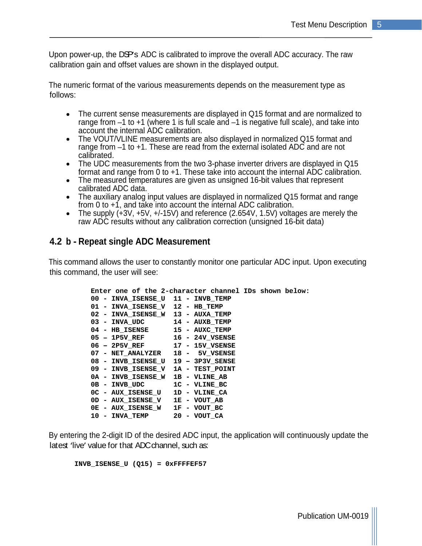Upon power-up, the DSP's ADC is calibrated to improve the overall ADC accuracy. The raw calibration gain and offset values are shown in the displayed output.

The numeric format of the various measurements depends on the measurement type as follows:

- The current sense measurements are displayed in Q15 format and are normalized to range from  $-1$  to  $+1$  (where 1 is full scale and  $-1$  is negative full scale), and take into account the internal ADC calibration.
- The VOUT/VLINE measurements are also displayed in normalized Q15 format and  $\bullet$ range from  $-1$  to  $+1$ . These are read from the external isolated ADC and are not calibrated.
- The UDC measurements from the two 3-phase inverter drivers are displayed in Q15 format and range from 0 to +1. These take into account the internal ADC calibration.
- $\bullet$ The measured temperatures are given as unsigned 16-bit values that represent calibrated ADC data.
- The auxiliary analog input values are displayed in normalized Q15 format and range from 0 to +1, and take into account the internal ADC calibration.
- The supply  $(+3V, +5V, +(-15V))$  and reference  $(2.654V, 1.5V)$  voltages are merely the  $\bullet$ raw ADC results without any calibration correction (unsigned 16-bit data)

## **4.2 b - Repeat single ADC Measurement**

This command allows the user to constantly monitor one particular ADC input. Upon executing this command, the user will see:

| Enter one of the 2-character channel IDs shown below: |  |
|-------------------------------------------------------|--|
| 00 - INVA_ISENSE_U 11 - INVB_TEMP                     |  |
| 01 - INVA_ISENSE_V 12 - HB_TEMP                       |  |
| 02 - INVA_ISENSE_W 13 - AUXA_TEMP                     |  |
| 03 - INVA_UDC<br>14 - AUXB_TEMP                       |  |
| 04 - HB_ISENSE<br>15 - AUXC_TEMP                      |  |
| $05 - 1P5V$ <sub>REF</sub><br>16 - 24V_VSENSE         |  |
| 06 - 2P5V_REF<br>17 - 15V_VSENSE                      |  |
| 07 - NET_ANALYZER 18 - 5V_VSENSE                      |  |
| 08 - INVB_ISENSE_U 19 - 3P3V_SENSE                    |  |
| 09 - INVB_ISENSE_V 1A - TEST_POINT                    |  |
| 0A - INVB_ISENSE_W 1B - VLINE_AB                      |  |
| 0B - INVB_UDC<br>1C - VLINE_BC                        |  |
| OC - AUX_ISENSE_U<br>1D - VLINE_CA                    |  |
| 1E - VOUT_AB<br>OD - AUX_ISENSE_V                     |  |
| OE - AUX_ISENSE_W<br>1F - VOUT_BC                     |  |
| 10 - INVA_TEMP<br>20 - VOUT_CA                        |  |
|                                                       |  |

By entering the 2-digit ID of the desired ADC input, the application will continuously update the latest 'live' value for that ADC channel, such as:

**INVB\_ISENSE\_U (Q15) = 0xFFFFEF57**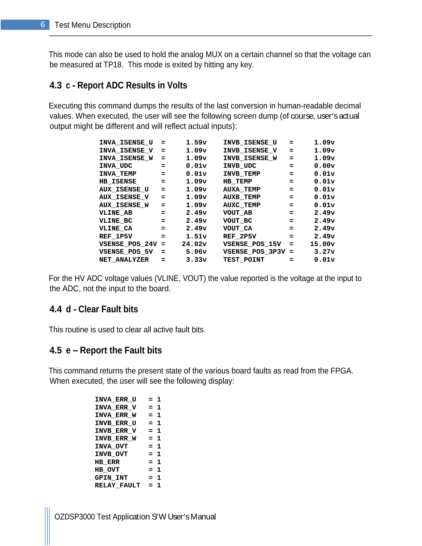This mode can also be used to hold the analog MUX on a certain channel so that the voltage can be measured at TP18. This mode is exited by hitting any key.

## **4.3 c - Report ADC Results in Volts**

Executing this command dumps the results of the last conversion in human-readable decimal values. When executed, the user will see the following screen dump (of course, user's actual output might be different and will reflect actual inputs):

| INVA_ISENSE_U =     |     | 1.59v                     | INVB_ISENSE_U      | $\sim$ $\approx$   | 1.09v  |  |
|---------------------|-----|---------------------------|--------------------|--------------------|--------|--|
| INVA_ISENSE_V =     |     | 1.09v                     | INVB_ISENSE_V      |                    | 1.09v  |  |
| INVA_ISENSE_W =     |     | 1.09v                     | INVB_ISENSE_W      | - =                | 1.09v  |  |
| INVA_UDC            |     | 0.01v                     | INVB_UDC           | $\equiv$           | 0.00v  |  |
| INVA_TEMP           |     | 0.01v                     | INVB_TEMP          | $\equiv$ $\equiv$  | 0.01v  |  |
| <b>HB_ISENSE</b>    |     | 1.09v                     | <b>HB_TEMP</b>     | =                  | 0.01v  |  |
| <b>AUX_ISENSE_U</b> |     | 1.09v                     | <b>AUXA_TEMP</b>   | $\equiv$           | 0.01v  |  |
| <b>AUX ISENSE V</b> |     | 1.09v                     | <b>AUXB_TEMP</b>   |                    | 0.01v  |  |
| <b>AUX_ISENSE_W</b> |     | 1.09v                     | AUXC_TEMP          | <b>SEC</b>         | 0.01v  |  |
| <b>VLINE_AB</b>     |     | 2.49v                     | VOUT_AB            | $=$                | 2.49v  |  |
| VLINE_BC            |     | 2.49v                     | VOUT_BC            | $=$ $\blacksquare$ | 2.49v  |  |
| <b>VLINE_CA</b>     | $=$ | 2.49v                     | VOUT_CA            | <b>SEC</b>         | 2.49v  |  |
| REF_1P5V            |     | $\texttt{\texttt{1.51v}}$ | $REF_2$ P5V        | $=$                | 2.49v  |  |
| $VSENSE_POS_24V =$  |     | 24.02v                    | $VSENSE_POS_15V =$ |                    | 15.00v |  |
| $VSENSE_POS_5V =$   |     | 5.06v                     | VSENSE_POS_3P3V =  |                    | 3.27v  |  |
| <b>NET_ANALYZER</b> |     | 3.33v                     | TEST_POINT         |                    | 0.01v  |  |

For the HV ADC voltage values (VLINE, VOUT) the value reported is the voltage at the input to the ADC, not the input to the board.

## **4.4 d - Clear Fault bits**

This routine is used to clear all active fault bits.

## **4.5 e Report the Fault bits**

This command returns the present state of the various board faults as read from the FPGA. When executed, the user will see the following display:

| $INVA_ERR_U = 1$  |       |  |
|-------------------|-------|--|
| $INVA_ERR_V = 1$  |       |  |
| $INVA_ERR_W = 1$  |       |  |
| $INVB\_ERR_U = 1$ |       |  |
| $INVB_ERR_V = 1$  |       |  |
| $INVB_ERR_W = 1$  |       |  |
| <b>INVA_OVT</b>   | $= 1$ |  |
| INVB_OVT          | $= 1$ |  |
| <b>HB_ERR</b>     | $= 1$ |  |
| HB_OVT            | $= 1$ |  |
| <b>GPIN_INT</b>   | $= 1$ |  |
| RELAY_FAULT = 1   |       |  |
|                   |       |  |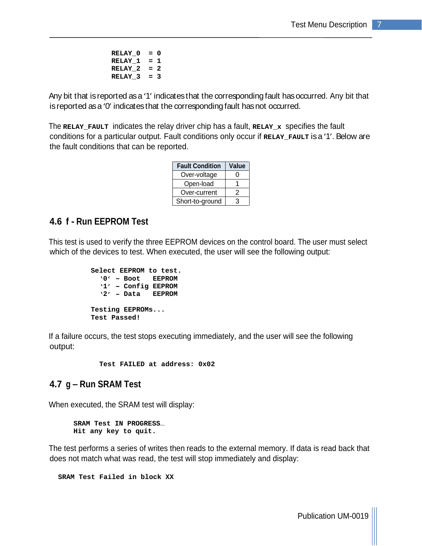```
 RELAY_0 = 0
RELAY_1 = 1
RELAY_2 = 2
RELAY_3 = 3
```
Any bit that is reported as a '1' indicates that the corresponding fault has occurred. Any bit that is reported as a '0' indicates that the corresponding fault has not occurred.

The **RELAY\_FAULT** indicates the relay driver chip has a fault, **RELAY\_x** specifies the fault conditions for a particular output. Fault conditions only occur if **RELAY\_FAULT** is a '1'. Below are the fault conditions that can be reported.

| <b>Fault Condition</b> | <b>Value</b> |
|------------------------|--------------|
| Over-voltage           |              |
| Open-load              |              |
| Over-current           |              |
| Short-to-ground        | $\cdot$      |

### **4.6 f - Run EEPROM Test**

This test is used to verify the three EEPROM devices on the control board. The user must select which of the devices to test. When executed, the user will see the following output:

```
Select EEPROM to test.
 0 Boot EEPROM
 1 Config EEPROM
 2 Data EEPROM
Testing EEPROMs...
Test Passed!
```
If a failure occurs, the test stops executing immediately, and the user will see the following output:

 **Test FAILED at address: 0x02**

## **4.7 g – Run SRAM Test**

When executed, the SRAM test will display:

```
SRAM Test IN PROGRESS
Hit any key to quit.
```
The test performs a series of writes then reads to the external memory. If data is read back that does not match what was read, the test will stop immediately and display:

**SRAM Test Failed in block XX**

Publication UM-0019 |||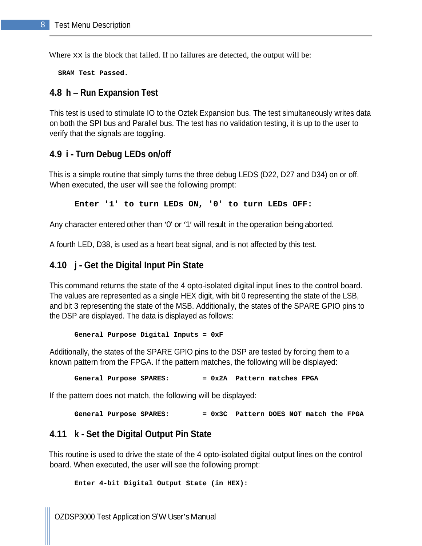Where  $xx$  is the block that failed. If no failures are detected, the output will be:

**SRAM Test Passed.**

#### **4.8 h Run Expansion Test**

This test is used to stimulate IO to the Oztek Expansion bus. The test simultaneously writes data on both the SPI bus and Parallel bus. The test has no validation testing, it is up to the user to verify that the signals are toggling.

#### **4.9 i - Turn Debug LEDs on/off**

This is a simple routine that simply turns the three debug LEDS (D22, D27 and D34) on or off. When executed, the user will see the following prompt:

**Enter '1' to turn LEDs ON, '0' to turn LEDs OFF:**

Any character entered other than 'O' or '1' will result in the operation being aborted.

A fourth LED, D38, is used as a heart beat signal, and is not affected by this test.

#### **4.10 j - Get the Digital Input Pin State**

This command returns the state of the 4 opto-isolated digital input lines to the control board. The values are represented as a single HEX digit, with bit 0 representing the state of the LSB, and bit 3 representing the state of the MSB. Additionally, the states of the SPARE GPIO pins to the DSP are displayed. The data is displayed as follows:

**General Purpose Digital Inputs = 0xF**

Additionally, the states of the SPARE GPIO pins to the DSP are tested by forcing them to a known pattern from the FPGA. If the pattern matches, the following will be displayed:

**General Purpose SPARES: = 0x2A Pattern matches FPGA**

If the pattern does not match, the following will be displayed:

**General Purpose SPARES: = 0x3C Pattern DOES NOT match the FPGA**

#### **4.11 k - Set the Digital Output Pin State**

This routine is used to drive the state of the 4 opto-isolated digital output lines on the control board. When executed, the user will see the following prompt:

**Enter 4-bit Digital Output State (in HEX):**

OZDSP3000 Test Application S'W User's Manual contract to the contract of the contract of the contract of the contract of the contract of the contract of the contract of the contract of the contract of the contract of the c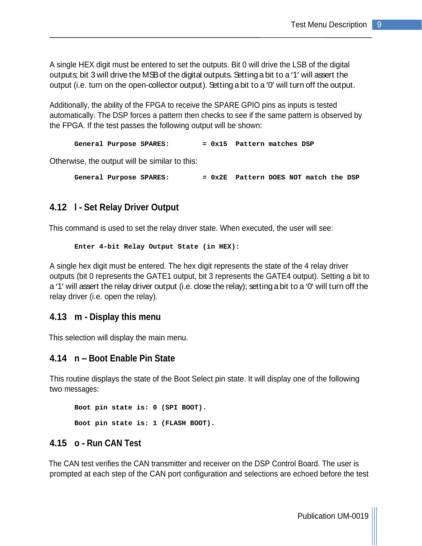A single HEX digit must be entered to set the outputs. Bit 0 will drive the LSB of the digital outputs; bit 3 will drive the MSB of the digital outputs. Setting a bit to a '1' will assert the output (i.e. turn on the open-collector output). Setting a bit to a 'O' will turn off the output.

Additionally, the ability of the FPGA to receive the SPARE GPIO pins as inputs is tested automatically. The DSP forces a pattern then checks to see if the same pattern is observed by the FPGA. If the test passes the following output will be shown:

**General Purpose SPARES: = 0x15 Pattern matches DSP**

Otherwise, the output will be similar to this:

**General Purpose SPARES: = 0x2E Pattern DOES NOT match the DSP**

#### **4.12 l - Set Relay Driver Output**

This command is used to set the relay driver state. When executed, the user will see:

```
Enter 4-bit Relay Output State (in HEX):
```
A single hex digit must be entered. The hex digit represents the state of the 4 relay driver outputs (bit 0 represents the GATE1 output, bit 3 represents the GATE4 output). Setting a bit to a '1' will assert the relay driver output (i.e. close the relay); setting a bit to a '0' will turn off the relay driver (i.e. open the relay).

#### **4.13 m - Display this menu**

This selection will display the main menu.

#### **4.14 n Boot Enable Pin State**

This routine displays the state of the Boot Select pin state. It will display one of the following two messages:

**Boot pin state is: 0 (SPI BOOT). Boot pin state is: 1 (FLASH BOOT).**

### **4.15 o - Run CAN Test**

The CAN test verifies the CAN transmitter and receiver on the DSP Control Board. The user is prompted at each step of the CAN port configuration and selections are echoed before the test

Publication UM-0019 |||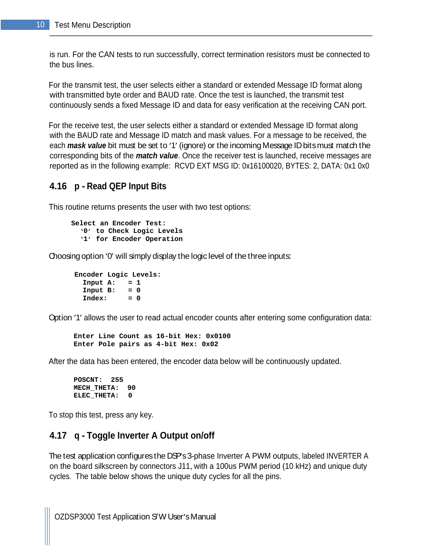is run. For the CAN tests to run successfully, correct termination resistors must be connected to the bus lines.

For the transmit test, the user selects either a standard or extended Message ID format along with transmitted byte order and BAUD rate. Once the test is launched, the transmit test continuously sends a fixed Message ID and data for easy verification at the receiving CAN port.

For the receive test, the user selects either a standard or extended Message ID format along with the BAUD rate and Message ID match and mask values. For a message to be received, the each **mask value** bit must be set to '1' (ignore) or the incoming Message ID bits must match the corresponding bits of the **match value**. Once the receiver test is launched, receive messages are reported as in the following example: RCVD EXT MSG ID: 0x16100020, BYTES: 2, DATA: 0x1 0x0

### **4.16 p - Read QEP Input Bits**

This routine returns presents the user with two test options:

```
Select an Encoder Test:
 0 to Check Logic Levels
 1 for Encoder Operation
```
Choosing option 'O' will simply display the logic level of the three inputs:

```
Encoder Logic Levels:
 Input A: = 1
Input B: = 0
Index: = 0
```
Option '1' allows the user to read actual encoder counts after entering some configuration data:

**Enter Line Count as 16-bit Hex: 0x0100 Enter Pole pairs as 4-bit Hex: 0x02**

After the data has been entered, the encoder data below will be continuously updated.

**POSCNT: 255 MECH\_THETA: 90 ELEC\_THETA: 0**

To stop this test, press any key.

#### **4.17 q - Toggle Inverter A Output on/off**

The test application configures the DSP's 3-phase Inverter A PWM outputs, labeled INVERTER A on the board silkscreen by connectors J11, with a 100us PWM period (10 kHz) and unique duty cycles. The table below shows the unique duty cycles for all the pins.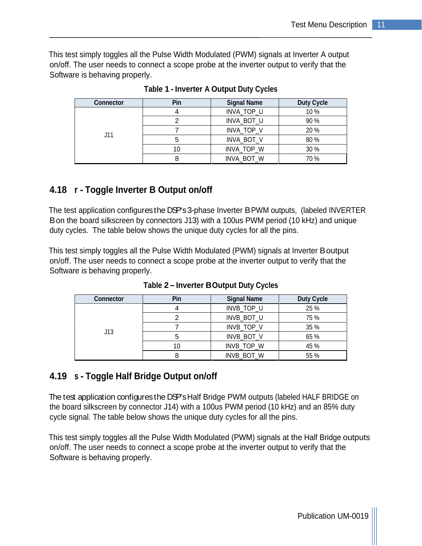This test simply toggles all the Pulse Width Modulated (PWM) signals at Inverter A output on/off. The user needs to connect a scope probe at the inverter output to verify that the Software is behaving properly.

| <b>Connector</b> |                 |                                               | <b>Duty Cycle</b>                                                                                                       |
|------------------|-----------------|-----------------------------------------------|-------------------------------------------------------------------------------------------------------------------------|
|                  |                 | $H N/A$ TOD                                   | $\lambda$ $\sim$ $\sim$                                                                                                 |
|                  | $\sim$ $\sim$   | INIVA DOT<br><b>INVA DUI</b>                  | . സ ഗ                                                                                                                   |
| $\cdots$         |                 | H N / A<br>. <i>.</i> .                       | nn 1                                                                                                                    |
|                  |                 | INIVA DOT<br>$\cdot$ DUI                      | . വ. പ                                                                                                                  |
|                  | $\overline{10}$ | $H N I \Lambda T O D L$<br>74 I I I P<br>____ | 2000<br>the contract of the contract of the contract of the contract of the contract of the contract of the contract of |
|                  |                 | 20T<br>וני הר                                 | 70. QZ                                                                                                                  |

**Table 1 - Inverter A Output Duty Cycles**

## **4.18 r - Toggle Inverter B Output on/off**

The test application configures the DSP's 3-phase Inverter BPWM outputs, (labeled INVERTER Bon the board silkscreen by connectors J13) with a 100us PWM period (10 kHz) and unique duty cycles. The table below shows the unique duty cycles for all the pins.

This test simply toggles all the Pulse Width Modulated (PWM) signals at Inverter Boutput on/off. The user needs to connect a scope probe at the inverter output to verify that the Software is behaving properly.

| Connoctor<br>wwe |        |                                                                                    | $P_{\text{right}} P_{\text{right}}$ |
|------------------|--------|------------------------------------------------------------------------------------|-------------------------------------|
| <b>UIU</b>       |        | INVR TOP I<br>.                                                                    | $\Omega F \Omega$<br>∠∪             |
|                  |        | $H N/D$ $DQT$ $H$                                                                  | 75.01                               |
|                  |        | $T_{\cap}$                                                                         | n = n /                             |
|                  |        | $INID$ $DAT$ $V$<br>ונות חצווו                                                     | C E 0                               |
|                  | $\sim$ | 0.025                                                                              |                                     |
|                  |        | $\mathbf{u}$ $\mathbf{v}$ $\mathbf{v}$ $\mathbf{v}$ $\mathbf{v}$ $\mathbf{v}$<br>. | $E E 0$ /                           |

**Table 2 Inverter BOutput Duty Cycles**

## **4.19 s - Toggle Half Bridge Output on/off**

The test application configures the DSP's Half Bridge PWM outputs (labeled HALF BRIDGE on the board silkscreen by connector J14) with a 100us PWM period (10 kHz) and an 85% duty cycle signal. The table below shows the unique duty cycles for all the pins.

This test simply toggles all the Pulse Width Modulated (PWM) signals at the Half Bridge outputs on/off. The user needs to connect a scope probe at the inverter output to verify that the Software is behaving properly.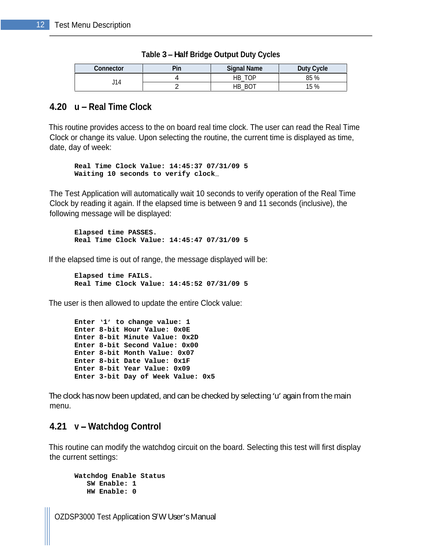| <b>Connector</b> | Signal Name | Duty Cycle                                                                                       |
|------------------|-------------|--------------------------------------------------------------------------------------------------|
| $\mathbf{A}$     | $ -$        | 85 %                                                                                             |
|                  | HB_BOT      | the control of the control of the control of the control of the control of the control of<br>5 % |

| Table $3$ – Half Bridge<br><b>je Output Duty Cycles</b> |  |
|---------------------------------------------------------|--|
|                                                         |  |

## **4.20 u Real Time Clock**

This routine provides access to the on board real time clock. The user can read the Real Time Clock or change its value. Upon selecting the routine, the current time is displayed as time, date, day of week:

**Real Time Clock Value: 14:45:37 07/31/09 5 Waiting 10 seconds to verify clock**

The Test Application will automatically wait 10 seconds to verify operation of the Real Time Clock by reading it again. If the elapsed time is between 9 and 11 seconds (inclusive), the following message will be displayed:

```
Elapsed time PASSES.
Real Time Clock Value: 14:45:47 07/31/09 5
```
If the elapsed time is out of range, the message displayed will be:

```
Elapsed time FAILS.
Real Time Clock Value: 14:45:52 07/31/09 5
```
The user is then allowed to update the entire Clock value:

```
Enter 1 to change value: 1
Enter 8-bit Hour Value: 0x0E
Enter 8-bit Minute Value: 0x2D
Enter 8-bit Second Value: 0x00
Enter 8-bit Month Value: 0x07
Enter 8-bit Date Value: 0x1F
Enter 8-bit Year Value: 0x09
Enter 3-bit Day of Week Value: 0x5
```
The clock has now been updated, and can be checked by selecting 'u' again from the main menu. The contract of the contract of the contract of the contract of the contract of the contract of the contract of the contract of the contract of the contract of the contract of the contract of the contract of the cont

## **4.21 v Watchdog Control**

This routine can modify the watchdog circuit on the board. Selecting this test will first display the current settings:

```
Watchdog Enable Status
 SW Enable: 1
HW Enable: 0
```
OZDSP3000 Test Application S'W User's Manual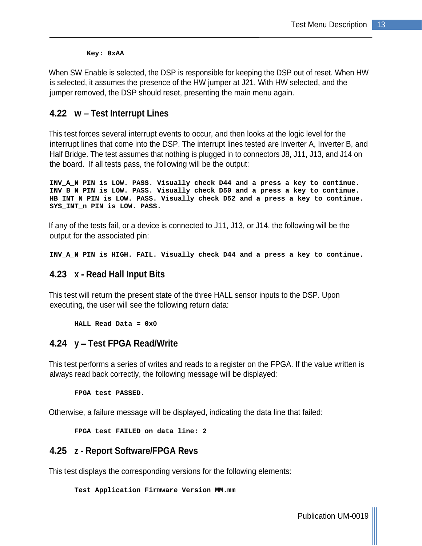**Key: 0xAA**

When SW Enable is selected, the DSP is responsible for keeping the DSP out of reset. When HW is selected, it assumes the presence of the HW jumper at J21. With HW selected, and the jumper removed, the DSP should reset, presenting the main menu again.

## **4.22 w Test Interrupt Lines**

This test forces several interrupt events to occur, and then looks at the logic level for the interrupt lines that come into the DSP. The interrupt lines tested are Inverter A, Inverter B, and Half Bridge. The test assumes that nothing is plugged in to connectors J8, J11, J13, and J14 on the board. If all tests pass, the following will be the output:

**INV\_A\_N PIN is LOW. PASS. Visually check D44 and a press a key to continue. INV\_B\_N PIN is LOW. PASS. Visually check D50 and a press a key to continue. HB\_INT\_N PIN is LOW. PASS. Visually check D52 and a press a key to continue. SYS\_INT\_n PIN is LOW. PASS.**

If any of the tests fail, or a device is connected to J11, J13, or J14, the following will be the output for the associated pin:

**INV\_A\_N PIN is HIGH. FAIL. Visually check D44 and a press a key to continue.**

## **4.23 x - Read Hall Input Bits**

This test will return the present state of the three HALL sensor inputs to the DSP. Upon executing, the user will see the following return data:

**HALL Read Data = 0x0**

## **4.24 y Test FPGA Read/Write**

This test performs a series of writes and reads to a register on the FPGA. If the value written is always read back correctly, the following message will be displayed:

**FPGA test PASSED.**

Otherwise, a failure message will be displayed, indicating the data line that failed:

**FPGA test FAILED on data line: 2**

#### **4.25 z - Report Software/FPGA Revs**

This test displays the corresponding versions for the following elements:

**Test Application Firmware Version MM.mm**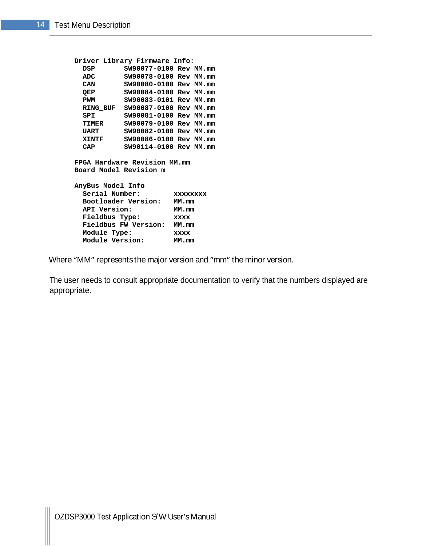```
Driver Library Firmware Info:
 DSP SW90077-0100 Rev MM.mm
 ADC SW90078-0100 Rev MM.mm
 CAN SW90080-0100 Rev MM.mm
 QEP SW90084-0100 Rev MM.mm
 PWM SW90083-0101 Rev MM.mm
 RING_BUF SW90087-0100 Rev MM.mm
 SPI SW90081-0100 Rev MM.mm
 TIMER SW90079-0100 Rev MM.mm
 UART SW90082-0100 Rev MM.mm
 XINTF SW90086-0100 Rev MM.mm
 CAP SW90114-0100 Rev MM.mm
FPGA Hardware Revision MM.mm
Board Model Revision m
AnyBus Model Info
 Serial Number: xxxxxxxx
Bootloader Version: MM.mm
API Version: MM.mm
 Fieldbus Type: xxxx
 Fieldbus FW Version: MM.mm
Module Type: xxxx
 Module Version: MM.mm
```
Where "MM" represents the major version and "mm" the minor version.

The user needs to consult appropriate documentation to verify that the numbers displayed are appropriate.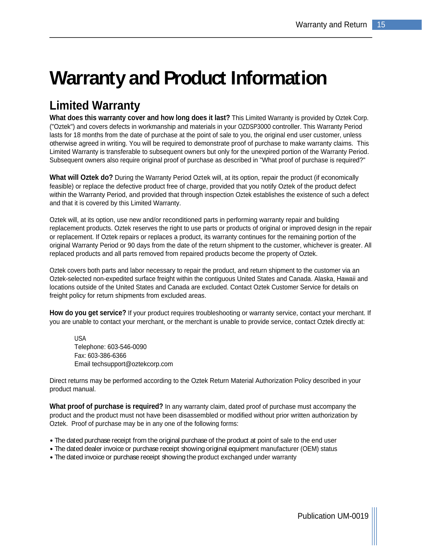# **Warranty and Product Information**

## **Limited Warranty**

**What does this warranty cover and how long does it last?** This Limited Warranty is provided by Oztek Corp. ("Oztek") and covers defects in workmanship and materials in your OZDSP3000 controller. This Warranty Period lasts for 18 months from the date of purchase at the point of sale to you, the original end user customer, unless otherwise agreed in writing. You will be required to demonstrate proof of purchase to make warranty claims. This Limited Warranty is transferable to subsequent owners but only for the unexpired portion of the Warranty Period. Subsequent owners also require original proof of purchase as described in "What proof of purchase is required?"

**What will Oztek do?** During the Warranty Period Oztek will, at its option, repair the product (if economically feasible) or replace the defective product free of charge, provided that you notify Oztek of the product defect within the Warranty Period, and provided that through inspection Oztek establishes the existence of such a defect and that it is covered by this Limited Warranty.

Oztek will, at its option, use new and/or reconditioned parts in performing warranty repair and building replacement products. Oztek reserves the right to use parts or products of original or improved design in the repair or replacement. If Oztek repairs or replaces a product, its warranty continues for the remaining portion of the original Warranty Period or 90 days from the date of the return shipment to the customer, whichever is greater. All replaced products and all parts removed from repaired products become the property of Oztek.

Oztek covers both parts and labor necessary to repair the product, and return shipment to the customer via an Oztek-selected non-expedited surface freight within the contiguous United States and Canada. Alaska, Hawaii and locations outside of the United States and Canada are excluded. Contact Oztek Customer Service for details on freight policy for return shipments from excluded areas.

**How do you get service?** If your product requires troubleshooting or warranty service, contact your merchant. If you are unable to contact your merchant, or the merchant is unable to provide service, contact Oztek directly at:

USA and the contract of the contract of the contract of the contract of the contract of the contract of the contract of the contract of the contract of the contract of the contract of the contract of the contract of the co Telephone: 603-546-0090 Fax: 603-386-6366 Email techsupport@oztekcorp.com

Direct returns may be performed according to the Oztek Return Material Authorization Policy described in your product manual.

**What proof of purchase is required?** In any warranty claim, dated proof of purchase must accompany the product and the product must not have been disassembled or modified without prior written authorization by Oztek. Proof of purchase may be in any one of the following forms:

- The dated purchase receipt from the original purchase of the product at point of sale to the end user
- The dated dealer invoice or purchase receipt showing original equipment manufacturer (OEM) status
- The dated invoice or purchase receipt showing the product exchanged under warranty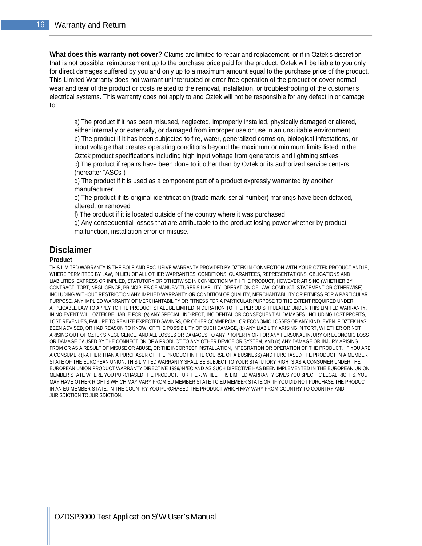**What does this warranty not cover?** Claims are limited to repair and replacement, or if in Oztek's discretion that is not possible, reimbursement up to the purchase price paid for the product. Oztek will be liable to you only for direct damages suffered by you and only up to a maximum amount equal to the purchase price of the product. This Limited Warranty does not warrant uninterrupted or error-free operation of the product or cover normal wear and tear of the product or costs related to the removal, installation, or troubleshooting of the customer's electrical systems. This warranty does not apply to and Oztek will not be responsible for any defect in or damage to:

a) The product if it has been misused, neglected, improperly installed, physically damaged or altered, either internally or externally, or damaged from improper use or use in an unsuitable environment b) The product if it has been subjected to fire, water, generalized corrosion, biological infestations, or input voltage that creates operating conditions beyond the maximum or minimum limits listed in the Oztek product specifications including high input voltage from generators and lightning strikes c) The product if repairs have been done to it other than by Oztek or its authorized service centers (hereafter "ASCs")

d) The product if it is used as a component part of a product expressly warranted by another manufacturer

e) The product if its original identification (trade-mark, serial number) markings have been defaced, altered, or removed

f) The product if it is located outside of the country where it was purchased

g) Any consequential losses that are attributable to the product losing power whether by product malfunction, installation error or misuse.

### **Disclaimer**

#### **Product**

THIS LIMITED WARRANTY IS THE SOLE AND EXCLUSIVE WARRANTY PROVIDED BY OZTEK IN CONNECTION WITH YOUR OZTEK PRODUCT AND IS, WHERE PERMITTED BY LAW, IN LIEU OF ALL OTHER WARRANTIES, CONDITIONS, GUARANTEES, REPRESENTATIONS, OBLIGATIONS AND LIABILITIES, EXPRESS OR IMPLIED, STATUTORY OR OTHERWISE IN CONNECTION WITH THE PRODUCT, HOWEVER ARISING (WHETHER BY CONTRACT, TORT, NEGLIGENCE, PRINCIPLES OF MANUFACTURER'S LIABILITY, OPERATION OF LAW, CONDUCT, STATEMENT OR OTHERWISE), INCLUDING WITHOUT RESTRICTION ANY IMPLIED WARRANTY OR CONDITION OF QUALITY, MERCHANTABILITY OR FITNESS FOR A PARTICULAR PURPOSE. ANY IMPLIED WARRANTY OF MERCHANTABILITY OR FITNESS FOR A PARTICULAR PURPOSE TO THE EXTENT REQUIRED UNDER APPLICABLE LAW TO APPLY TO THE PRODUCT SHALL BE LIMITED IN DURATION TO THE PERIOD STIPULATED UNDER THIS LIMITED WARRANTY. IN NO EVENT WILL OZTEK BE LIABLE FOR: (a) ANY SPECIAL, INDIRECT, INCIDENTAL OR CONSEQUENTIAL DAMAGES, INCLUDING LOST PROFITS, LOST REVENUES, FAILURE TO REALIZE EXPECTED SAVINGS, OR OTHER COMMERCIAL OR ECONOMIC LOSSES OF ANY KIND, EVEN IF OZTEK HAS BEEN ADVISED, OR HAD REASON TO KNOW, OF THE POSSIBILITY OF SUCH DAMAGE, (b) ANY LIABILITY ARISING IN TORT, WHETHER OR NOT ARISING OUT OF OZTEK'S NEGLIGENCE, AND ALL LOSSES OR DAMAGES TO ANY PROPERTY OR FOR ANY PERSONAL INJURY OR ECONOMIC LOSS OR DAMAGE CAUSED BY THE CONNECTION OF A PRODUCT TO ANY OTHER DEVICE OR SYSTEM, AND (c) ANY DAMAGE OR INJURY ARISING FROM OR AS A RESULT OF MISUSE OR ABUSE, OR THE INCORRECT INSTALLATION, INTEGRATION OR OPERATION OF THE PRODUCT. IF YOU ARE A CONSUMER (RATHER THAN A PURCHASER OF THE PRODUCT IN THE COURSE OF A BUSINESS) AND PURCHASED THE PRODUCT IN A MEMBER STATE OF THE EUROPEAN UNION, THIS LIMITED WARRANTY SHALL BE SUBJECT TO YOUR STATUTORY RIGHTS AS A CONSUMER UNDER THE EUROPEAN UNION PRODUCT WARRANTY DIRECTIVE 1999/44/EC AND AS SUCH DIRECTIVE HAS BEEN IMPLEMENTED IN THE EUROPEAN UNION MEMBER STATE WHERE YOU PURCHASED THE PRODUCT. FURTHER, WHILE THIS LIMITED WARRANTY GIVES YOU SPECIFIC LEGAL RIGHTS, YOU MAY HAVE OTHER RIGHTS WHICH MAY VARY FROM EU MEMBER STATE TO EU MEMBER STATE OR, IF YOU DID NOT PURCHASE THE PRODUCT IN AN EU MEMBER STATE, IN THE COUNTRY YOU PURCHASED THE PRODUCT WHICH MAY VARY FROM COUNTRY TO COUNTRY AND JURISDICTION TO JURISDICTION.